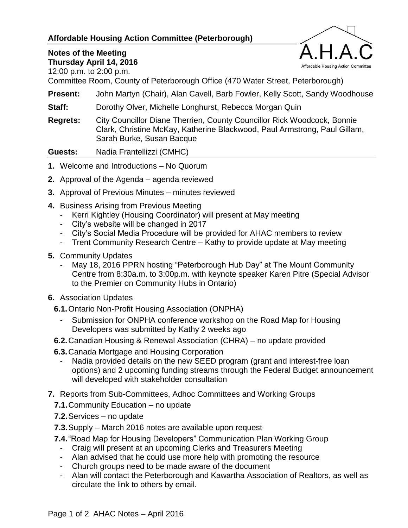## **Affordable Housing Action Committee (Peterborough)**



## **Notes of the Meeting**

**Thursday April 14, 2016**

12:00 p.m. to 2:00 p.m.

Committee Room, County of Peterborough Office (470 Water Street, Peterborough)

**Present:** John Martyn (Chair), Alan Cavell, Barb Fowler, Kelly Scott, Sandy Woodhouse

**Staff:** Dorothy Olver, Michelle Longhurst, Rebecca Morgan Quin

**Regrets:** City Councillor Diane Therrien, County Councillor Rick Woodcock, Bonnie Clark, Christine McKay, Katherine Blackwood, Paul Armstrong, Paul Gillam, Sarah Burke, Susan Bacque

**Guests:** Nadia Frantellizzi (CMHC)

- **1.** Welcome and Introductions No Quorum
- **2.** Approval of the Agenda agenda reviewed
- **3.** Approval of Previous Minutes minutes reviewed
- **4.** Business Arising from Previous Meeting
	- Kerri Kightley (Housing Coordinator) will present at May meeting
	- City's website will be changed in 2017
	- City's Social Media Procedure will be provided for AHAC members to review
	- Trent Community Research Centre Kathy to provide update at May meeting
- **5.** Community Updates
	- May 18, 2016 PPRN hosting "Peterborough Hub Day" at The Mount Community Centre from 8:30a.m. to 3:00p.m. with keynote speaker Karen Pitre (Special Advisor to the Premier on Community Hubs in Ontario)
- **6.** Association Updates
	- **6.1.**Ontario Non-Profit Housing Association (ONPHA)
		- Submission for ONPHA conference workshop on the Road Map for Housing Developers was submitted by Kathy 2 weeks ago
	- **6.2.**Canadian Housing & Renewal Association (CHRA) no update provided
	- **6.3.**Canada Mortgage and Housing Corporation
		- Nadia provided details on the new SEED program (grant and interest-free loan options) and 2 upcoming funding streams through the Federal Budget announcement will developed with stakeholder consultation
- **7.** Reports from Sub-Committees, Adhoc Committees and Working Groups
	- **7.1.**Community Education no update
	- **7.2.**Services no update
	- **7.3.**Supply March 2016 notes are available upon request
	- **7.4.**"Road Map for Housing Developers" Communication Plan Working Group
		- Craig will present at an upcoming Clerks and Treasurers Meeting
		- Alan advised that he could use more help with promoting the resource
		- Church groups need to be made aware of the document
		- Alan will contact the Peterborough and Kawartha Association of Realtors, as well as circulate the link to others by email.